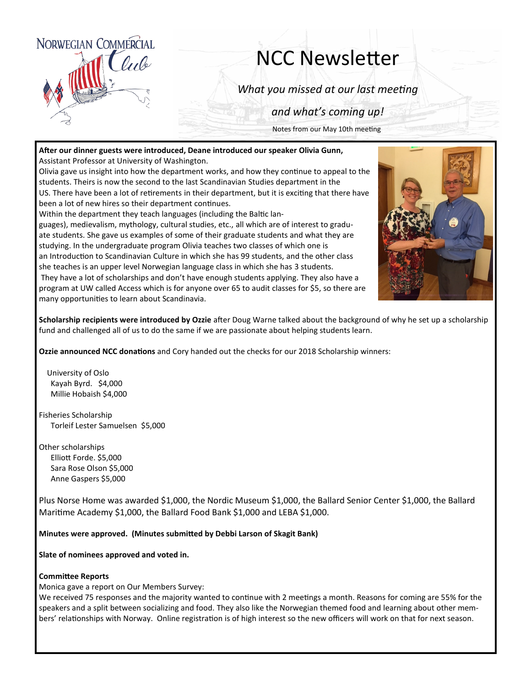

# NCC Newsletter

*What you missed at our last meeting*

*and what's coming up!*

Notes from our May 10th meeting

**After our dinner guests were introduced, Deane introduced our speaker Olivia Gunn,** Assistant Professor at University of Washington.

Olivia gave us insight into how the department works, and how they continue to appeal to the students. Theirs is now the second to the last Scandinavian Studies department in the US. There have been a lot of retirements in their department, but it is exciting that there have been a lot of new hires so their department continues.

Within the department they teach languages (including the Baltic lan-



guages), medievalism, mythology, cultural studies, etc., all which are of interest to graduate students. She gave us examples of some of their graduate students and what they are studying. In the undergraduate program Olivia teaches two classes of which one is an Introduction to Scandinavian Culture in which she has 99 students, and the other class she teaches is an upper level Norwegian language class in which she has 3 students. They have a lot of scholarships and don't have enough students applying. They also have a program at UW called Access which is for anyone over 65 to audit classes for \$5, so there are many opportunities to learn about Scandinavia.

**Scholarship recipients were introduced by Ozzie** after Doug Warne talked about the background of why he set up a scholarship fund and challenged all of us to do the same if we are passionate about helping students learn.

**Ozzie announced NCC donations** and Cory handed out the checks for our 2018 Scholarship winners:

University of Oslo Kayah Byrd. \$4,000 Millie Hobaish \$4,000

Fisheries Scholarship Torleif Lester Samuelsen \$5,000

Other scholarships Elliott Forde. \$5,000 Sara Rose Olson \$5,000 Anne Gaspers \$5,000

Plus Norse Home was awarded \$1,000, the Nordic Museum \$1,000, the Ballard Senior Center \$1,000, the Ballard Maritime Academy \$1,000, the Ballard Food Bank \$1,000 and LEBA \$1,000.

**Minutes were approved. (Minutes submitted by Debbi Larson of Skagit Bank)**

**Slate of nominees approved and voted in.**

#### **Committee Reports**

Monica gave a report on Our Members Survey:

We received 75 responses and the majority wanted to continue with 2 meetings a month. Reasons for coming are 55% for the speakers and a split between socializing and food. They also like the Norwegian themed food and learning about other members' relationships with Norway. Online registration is of high interest so the new officers will work on that for next season.